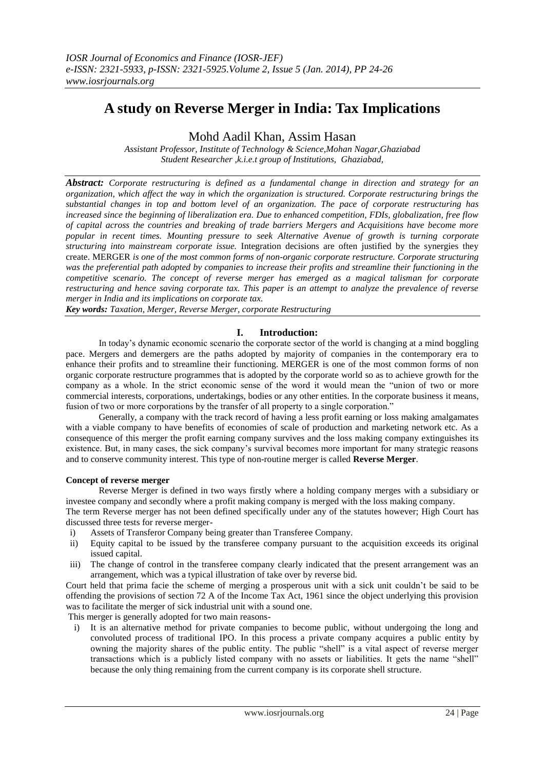# **A study on Reverse Merger in India: Tax Implications**

Mohd Aadil Khan, Assim Hasan

*Assistant Professor, Institute of Technology & Science,Mohan Nagar,Ghaziabad Student Researcher ,k.i.e.t group of Institutions, Ghaziabad,*

*Abstract: Corporate restructuring is defined as a fundamental change in direction and strategy for an organization, which affect the way in which the organization is structured. Corporate restructuring brings the substantial changes in top and bottom level of an organization. The pace of corporate restructuring has increased since the beginning of liberalization era. Due to enhanced competition, FDIs, globalization, free flow of capital across the countries and breaking of trade barriers Mergers and Acquisitions have become more popular in recent times. Mounting pressure to seek Alternative Avenue of growth is turning corporate structuring into mainstream corporate issue.* Integration decisions are often justified by the synergies they create. MERGER *is one of the most common forms of non-organic corporate restructure. Corporate structuring was the preferential path adopted by companies to increase their profits and streamline their functioning in the competitive scenario. The concept of reverse merger has emerged as a magical talisman for corporate restructuring and hence saving corporate tax. This paper is an attempt to analyze the prevalence of reverse merger in India and its implications on corporate tax.* 

*Key words: Taxation, Merger, Reverse Merger, corporate Restructuring*

## **I. Introduction:**

In today's dynamic economic scenario the corporate sector of the world is changing at a mind boggling pace. Mergers and demergers are the paths adopted by majority of companies in the contemporary era to enhance their profits and to streamline their functioning. MERGER is one of the most common forms of non organic corporate restructure programmes that is adopted by the corporate world so as to achieve growth for the company as a whole. In the strict economic sense of the word it would mean the "union of two or more commercial interests, corporations, undertakings, bodies or any other entities. In the corporate business it means, fusion of two or more corporations by the transfer of all property to a single corporation."

Generally, a company with the track record of having a less profit earning or loss making amalgamates with a viable company to have benefits of economies of scale of production and marketing network etc. As a consequence of this merger the profit earning company survives and the loss making company extinguishes its existence. But, in many cases, the sick company's survival becomes more important for many strategic reasons and to conserve community interest. This type of non-routine merger is called **Reverse Merger**.

#### **Concept of reverse merger**

Reverse Merger is defined in two ways firstly where a holding company merges with a subsidiary or investee company and secondly where a profit making company is merged with the loss making company.

The term Reverse merger has not been defined specifically under any of the statutes however; High Court has discussed three tests for reverse merger-

- i) Assets of Transferor Company being greater than Transferee Company.
- ii) Equity capital to be issued by the transferee company pursuant to the acquisition exceeds its original issued capital.
- iii) The change of control in the transferee company clearly indicated that the present arrangement was an arrangement, which was a typical illustration of take over by reverse bid.

Court held that prima facie the scheme of merging a prosperous unit with a sick unit couldn't be said to be offending the provisions of section 72 A of the Income Tax Act, 1961 since the object underlying this provision was to facilitate the merger of sick industrial unit with a sound one.

This merger is generally adopted for two main reasons-

i) It is an alternative method for private companies to become public, without undergoing the long and convoluted process of traditional IPO. In this process a private company acquires a public entity by owning the majority shares of the public entity. The public "shell" is a vital aspect of reverse merger transactions which is a publicly listed company with no assets or liabilities. It gets the name "shell" because the only thing remaining from the current company is its corporate shell structure.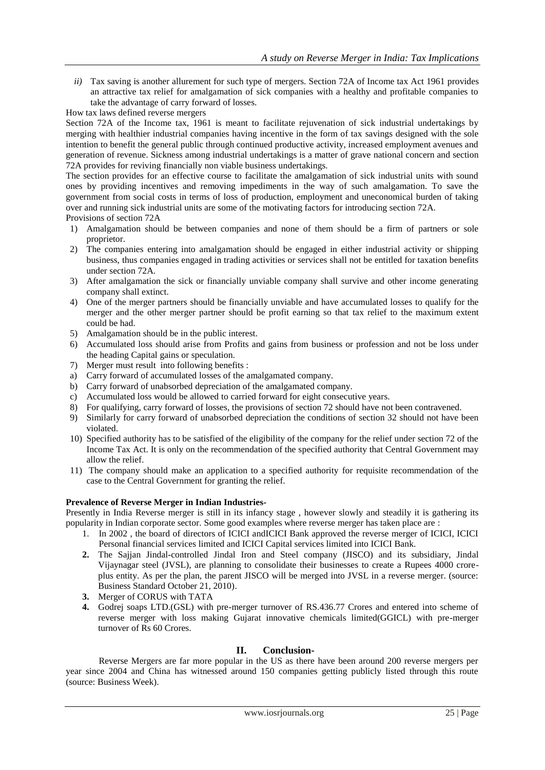*ii*) Tax saving is another allurement for such type of mergers. Section 72A of Income tax Act 1961 provides an attractive tax relief for amalgamation of sick companies with a healthy and profitable companies to take the advantage of carry forward of losses.

How tax laws defined reverse mergers

Section 72A of the Income tax, 1961 is meant to facilitate rejuvenation of sick industrial undertakings by merging with healthier industrial companies having incentive in the form of tax savings designed with the sole intention to benefit the general public through continued productive activity, increased employment avenues and generation of revenue. Sickness among industrial undertakings is a matter of grave national concern and section 72A provides for reviving financially non viable business undertakings.

The section provides for an effective course to facilitate the amalgamation of sick industrial units with sound ones by providing incentives and removing impediments in the way of such amalgamation. To save the government from social costs in terms of loss of production, employment and uneconomical burden of taking over and running sick industrial units are some of the motivating factors for introducing section 72A. Provisions of section 72A

- 1) Amalgamation should be between companies and none of them should be a firm of partners or sole proprietor.
- 2) The companies entering into amalgamation should be engaged in either industrial activity or shipping business, thus companies engaged in trading activities or services shall not be entitled for taxation benefits under section 72A.
- 3) After amalgamation the sick or financially unviable company shall survive and other income generating company shall extinct.
- 4) One of the merger partners should be financially unviable and have accumulated losses to qualify for the merger and the other merger partner should be profit earning so that tax relief to the maximum extent could be had.
- 5) Amalgamation should be in the public interest.
- 6) Accumulated loss should arise from Profits and gains from business or profession and not be loss under the heading Capital gains or speculation.
- 7) Merger must result into following benefits :
- a) Carry forward of accumulated losses of the amalgamated company.
- b) Carry forward of unabsorbed depreciation of the amalgamated company.
- c) Accumulated loss would be allowed to carried forward for eight consecutive years.
- 8) For qualifying, carry forward of losses, the provisions of section 72 should have not been contravened.
- 9) Similarly for carry forward of unabsorbed depreciation the conditions of section 32 should not have been violated.
- 10) Specified authority has to be satisfied of the eligibility of the company for the relief under section 72 of the Income Tax Act. It is only on the recommendation of the specified authority that Central Government may allow the relief.
- 11) The company should make an application to a specified authority for requisite recommendation of the case to the Central Government for granting the relief.

## **Prevalence of Reverse Merger in Indian Industries-**

Presently in India Reverse merger is still in its infancy stage , however slowly and steadily it is gathering its popularity in Indian corporate sector. Some good examples where reverse merger has taken place are :

- 1. In 2002 , the board of directors of ICICI andICICI Bank approved the reverse merger of ICICI, ICICI Personal financial services limited and ICICI Capital services limited into ICICI Bank.
- **2.** The Sajjan Jindal-controlled Jindal Iron and Steel company (JISCO) and its subsidiary, Jindal Vijaynagar steel (JVSL), are planning to consolidate their businesses to create a Rupees 4000 croreplus entity. As per the plan, the parent JISCO will be merged into JVSL in a reverse merger. (source: Business Standard October 21, 2010).
- **3.** Merger of CORUS with TATA
- **4.** Godrej soaps LTD.(GSL) with pre-merger turnover of RS.436.77 Crores and entered into scheme of reverse merger with loss making Gujarat innovative chemicals limited(GGICL) with pre-merger turnover of Rs 60 Crores.

## **II. Conclusion-**

Reverse Mergers are far more popular in the US as there have been around 200 reverse mergers per year since 2004 and China has witnessed around 150 companies getting publicly listed through this route (source: Business Week).